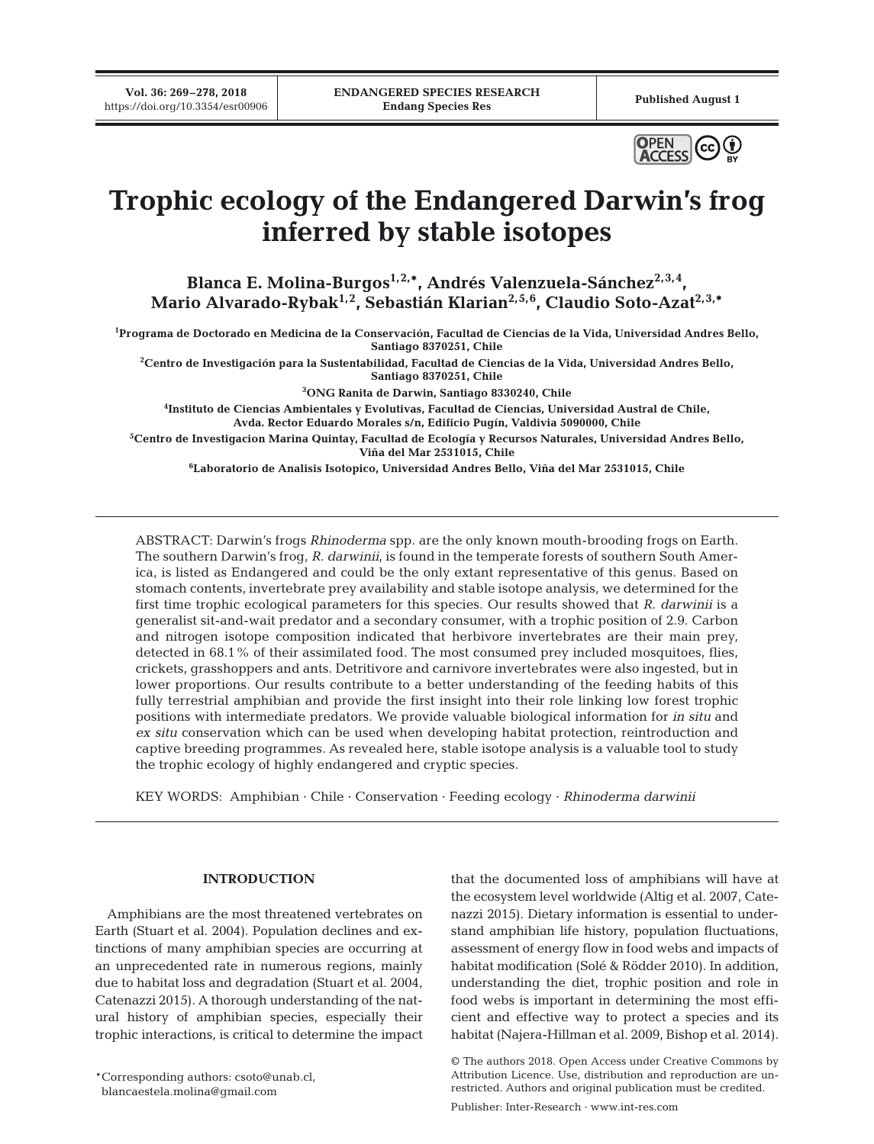**Vol. 36: 269–278, 2018**



# **Trophic ecology of the Endangered Darwin's frog inferred by stable isotopes**

Blanca E. Molina-Burgos<sup>1,2,\*</sup>, Andrés Valenzuela-Sánchez<sup>2,3,4</sup>, Mario Alvarado-Rybak<sup>1,2</sup>, Sebastián Klarian<sup>2,5,6</sup>, Claudio Soto-Azat<sup>2,3,\*</sup>

**1 Programa de Doctorado en Medicina de la Conservación, Facultad de Ciencias de la Vida, Universidad Andres Bello, Santiago 8370251, Chile**

**2 Centro de Investigación para la Sustentabilidad, Facultad de Ciencias de la Vida, Universidad Andres Bello, Santiago 8370251, Chile**

**3 ONG Ranita de Darwin, Santiago 8330240, Chile**

**4 Instituto de Ciencias Ambientales y Evolutivas, Facultad de Ciencias, Universidad Austral de Chile, Avda. Rector Eduardo Morales s/n, Edificio Pugín, Valdivia 5090000, Chile**

**5 Centro de Investigacion Marina Quintay, Facultad de Ecología y Recursos Naturales, Universidad Andres Bello, Viña del Mar 2531015, Chile**

**6 Laboratorio de Analisis Isotopico, Universidad Andres Bello, Viña del Mar 2531015, Chile**

ABSTRACT: Darwin's frogs *Rhinoderma* spp. are the only known mouth-brooding frogs on Earth. The southern Darwin's frog, *R. darwinii*, is found in the temperate forests of southern South America, is listed as Endangered and could be the only extant representative of this genus. Based on stomach contents, invertebrate prey availability and stable isotope analysis, we determined for the first time trophic ecological parameters for this species. Our results showed that *R*. *darwinii* is a generalist sit-and-wait predator and a secondary consumer, with a trophic position of 2.9. Carbon and nitrogen isotope composition indicated that herbivore invertebrates are their main prey, detected in 68.1% of their assimilated food. The most consumed prey included mosquitoes, flies, crickets, grasshoppers and ants. Detritivore and carnivore invertebrates were also ingested, but in lower proportions. Our results contribute to a better understanding of the feeding habits of this fully terrestrial amphibian and provide the first insight into their role linking low forest trophic positions with intermediate predators. We provide valuable biological information for *in situ* and *ex situ* conservation which can be used when developing habitat protection, reintroduction and captive breeding programmes. As revealed here, stable isotope analysis is a valuable tool to study the trophic ecology of highly endangered and cryptic species.

KEY WORDS: Amphibian · Chile · Conservation · Feeding ecology · *Rhinoderma darwinii*

## **INTRODUCTION**

Amphibians are the most threatened vertebrates on Earth (Stuart et al. 2004). Population declines and extinctions of many amphibian species are occurring at an unprecedented rate in numerous regions, mainly due to habitat loss and degradation (Stuart et al. 2004, Catenazzi 2015). A thorough understanding of the natural history of amphibian species, especially their trophic interactions, is critical to determine the impact

\*Corresponding authors: csoto@unab.cl, blancaestela.molina@gmail.com

that the documented loss of amphibians will have at the ecosystem level worldwide (Altig et al. 2007, Catenazzi 2015). Dietary information is essential to understand amphibian life history, population fluctuations, assessment of energy flow in food webs and impacts of habitat modification (Solé & Rödder 2010). In addition, understanding the diet, trophic position and role in food webs is important in determining the most efficient and effective way to protect a species and its habitat (Najera-Hillman et al. 2009, Bishop et al. 2014).

<sup>©</sup> The authors 2018. Open Access under Creative Commons by Attribution Licence. Use, distribution and reproduction are unrestricted. Authors and original publication must be credited.

Publisher: Inter-Research · www.int-res.com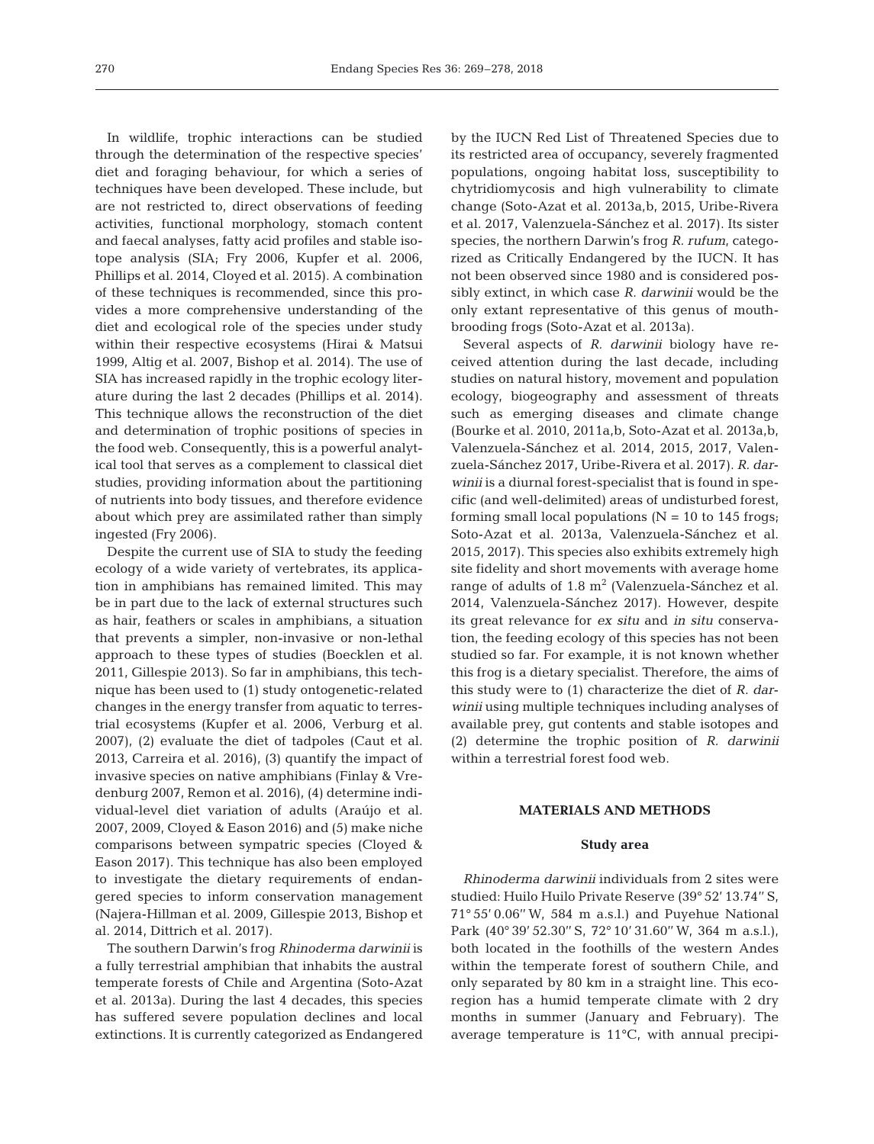In wildlife, trophic interactions can be studied through the determination of the respective species' diet and foraging behaviour, for which a series of techniques have been developed. These include, but are not restricted to, direct observations of feeding activities, functional morphology, stomach content and faecal analyses, fatty acid profiles and stable isotope analysis (SIA; Fry 2006, Kupfer et al. 2006, Phillips et al. 2014, Cloyed et al. 2015). A combination of these techniques is recommended, since this provides a more comprehensive understanding of the diet and ecological role of the species under study within their respective ecosystems (Hirai & Matsui 1999, Altig et al. 2007, Bishop et al. 2014). The use of SIA has increased rapidly in the trophic ecology literature during the last 2 decades (Phillips et al. 2014). This technique allows the reconstruction of the diet and determination of trophic positions of species in the food web. Consequently, this is a powerful analytical tool that serves as a complement to classical diet studies, providing information about the partitioning of nutrients into body tissues, and therefore evidence about which prey are assimilated rather than simply ingested (Fry 2006).

Despite the current use of SIA to study the feeding ecology of a wide variety of vertebrates, its application in amphibians has remained limited. This may be in part due to the lack of external structures such as hair, feathers or scales in amphibians, a situation that prevents a simpler, non-invasive or non-lethal approach to these types of studies (Boecklen et al. 2011, Gillespie 2013). So far in amphibians, this technique has been used to (1) study ontogenetic-related changes in the energy transfer from aquatic to terrestrial ecosystems (Kupfer et al. 2006, Verburg et al. 2007), (2) evaluate the diet of tadpoles (Caut et al. 2013, Carreira et al. 2016), (3) quantify the impact of invasive species on native amphibians (Finlay & Vredenburg 2007, Remon et al. 2016), (4) determine individual-level diet variation of adults (Araújo et al. 2007, 2009, Cloyed & Eason 2016) and (5) make niche comparisons between sympatric species (Cloyed & Eason 2017). This technique has also been employed to investigate the dietary requirements of endangered species to inform conservation management (Najera-Hillman et al. 2009, Gillespie 2013, Bishop et al. 2014, Dittrich et al. 2017).

The southern Darwin's frog *Rhinoderma darwinii* is a fully terrestrial amphibian that inhabits the austral temperate forests of Chile and Argentina (Soto-Azat et al. 2013a). During the last 4 decades, this species has suffered severe population declines and local extinctions. It is currently categorized as Endangered by the IUCN Red List of Threatened Species due to its restricted area of occupancy, severely fragmented populations, ongoing habitat loss, susceptibility to chytridiomycosis and high vulnerability to climate change (Soto-Azat et al. 2013a,b, 2015, Uribe-Rivera et al. 2017, Valenzuela-Sánchez et al. 2017). Its sister species, the northern Darwin's frog *R. rufum*, categorized as Critically Endangered by the IUCN. It has not been observed since 1980 and is considered possibly extinct, in which case *R. darwinii* would be the only extant representative of this genus of mouthbrooding frogs (Soto-Azat et al. 2013a).

Several aspects of *R. darwinii* biology have received attention during the last decade, including studies on natural history, movement and population ecology, biogeography and assessment of threats such as emerging diseases and climate change (Bourke et al. 2010, 2011a,b, Soto-Azat et al. 2013a,b, Valenzuela-Sánchez et al. 2014, 2015, 2017, Valenzuela-Sánchez 2017, Uribe-Rivera et al. 2017). *R. darwinii* is a diurnal forest-specialist that is found in specific (and well-delimited) areas of undisturbed forest, forming small local populations ( $N = 10$  to 145 frogs; Soto-Azat et al. 2013a, Valenzuela-Sánchez et al. 2015, 2017). This species also exhibits extremely high site fidelity and short movements with average home range of adults of  $1.8 \text{ m}^2$  (Valenzuela-Sánchez et al. 2014, Valenzuela-Sánchez 2017). However, despite its great relevance for *ex situ* and *in situ* conservation, the feeding ecology of this species has not been studied so far. For example, it is not known whether this frog is a dietary specialist. Therefore, the aims of this study were to (1) characterize the diet of *R. darwinii* using multiple techniques including analyses of available prey, gut contents and stable isotopes and (2) determine the trophic position of *R. darwinii* within a terrestrial forest food web.

# **MATERIALS AND METHODS**

# **Study area**

*Rhinoderma darwinii* individuals from 2 sites were studied: Huilo Huilo Private Reserve (39° 52' 13.74'' S, 71° 55' 0.06'' W, 584 m a.s.l.) and Puyehue National Park (40° 39' 52.30'' S, 72° 10' 31.60'' W, 364 m a.s.l.), both located in the foothills of the western Andes within the temperate forest of southern Chile, and only separated by 80 km in a straight line. This ecoregion has a humid temperate climate with 2 dry months in summer (January and February). The average temperature is  $11^{\circ}$ C, with annual precipi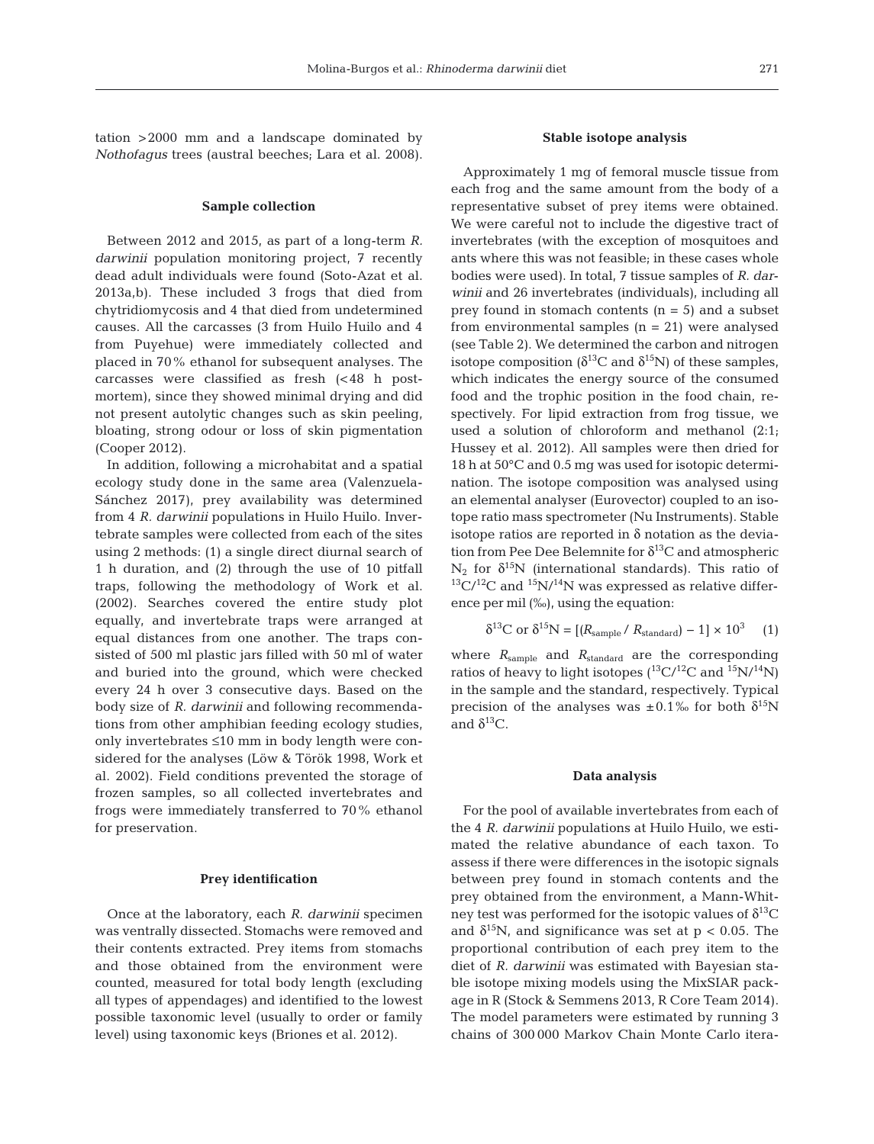tation >2000 mm and a landscape dominated by *Nothofagus* trees (austral beeches; Lara et al. 2008).

#### **Sample collection**

Between 2012 and 2015, as part of a long-term *R. darwinii* population monitoring project, 7 recently dead adult individuals were found (Soto-Azat et al. 2013a,b). These included 3 frogs that died from chytridiomycosis and 4 that died from undetermined causes. All the carcasses (3 from Huilo Huilo and 4 from Puyehue) were immediately collected and placed in 70% ethanol for subsequent analyses. The carcasses were classified as fresh (<48 h postmortem), since they showed minimal drying and did not present autolytic changes such as skin peeling, bloating, strong odour or loss of skin pigmentation (Cooper 2012).

In addition, following a microhabitat and a spatial ecology study done in the same area (Valenzuela-Sánchez 2017), prey availability was determined from 4 *R. darwinii* populations in Huilo Huilo. Invertebrate samples were collected from each of the sites using 2 methods: (1) a single direct diurnal search of 1 h duration, and (2) through the use of 10 pitfall traps, following the methodology of Work et al. (2002). Searches covered the entire study plot equally, and invertebrate traps were arranged at equal distances from one another. The traps consisted of 500 ml plastic jars filled with 50 ml of water and buried into the ground, which were checked every 24 h over 3 consecutive days. Based on the body size of *R. darwinii* and following recommendations from other amphibian feeding ecology studies, only invertebrates ≤10 mm in body length were considered for the analyses (Löw & Török 1998, Work et al. 2002). Field conditions prevented the storage of frozen samples, so all collected invertebrates and frogs were immediately transferred to 70% ethanol for preservation.

## **Prey identification**

Once at the laboratory, each *R. darwinii* specimen was ventrally dissected. Stomachs were removed and their contents extracted. Prey items from stomachs and those obtained from the environment were counted, measured for total body length (excluding all types of appendages) and identified to the lowest possible taxonomic level (usually to order or family level) using taxonomic keys (Briones et al. 2012).

## **Stable isotope analysis**

Approximately 1 mg of femoral muscle tissue from each frog and the same amount from the body of a representative subset of prey items were obtained. We were careful not to include the digestive tract of invertebrates (with the exception of mosquitoes and ants where this was not feasible; in these cases whole bodies were used). In total, 7 tissue samples of *R. darwinii* and 26 invertebrates (individuals), including all prey found in stomach contents  $(n = 5)$  and a subset from environmental samples  $(n = 21)$  were analysed (see Table 2). We determined the carbon and nitrogen isotope composition ( $\delta^{13}$ C and  $\delta^{15}$ N) of these samples, which indicates the energy source of the consumed food and the trophic position in the food chain, respectively. For lipid extraction from frog tissue, we used a solution of chloroform and methanol (2:1; Hussey et al. 2012). All samples were then dried for 18 h at 50°C and 0.5 mg was used for isotopic determination. The isotope composition was analysed using an elemental analyser (Eurovector) coupled to an isotope ratio mass spectrometer (Nu Instruments). Stable isotope ratios are reported in  $\delta$  notation as the deviation from Pee Dee Belemnite for  $\delta^{13}$ C and atmospheric  $N_2$  for  $\delta^{15}N$  (international standards). This ratio of  $13\text{C}/12\text{C}$  and  $15\text{N}/14\text{N}$  was expressed as relative difference per mil (‰), using the equation:

$$
\delta^{13}C \text{ or } \delta^{15}N = [(R_{\text{sample}} / R_{\text{standard}}) - 1] \times 10^3 \quad (1)
$$

where *R*sample and *R*standard are the corresponding ratios of heavy to light isotopes ( $^{13}C/^{12}C$  and  $^{15}N/^{14}N$ ) in the sample and the standard, respectively. Typical precision of the analyses was  $\pm 0.1\%$  for both  $\delta^{15}N$ and  $δ$ <sup>13</sup>C.

#### **Data analysis**

For the pool of available invertebrates from each of the 4 *R. darwinii* populations at Huilo Huilo, we estimated the relative abundance of each taxon. To assess if there were differences in the isotopic signals between prey found in stomach contents and the prey obtained from the environment, a Mann-Whitney test was performed for the isotopic values of  $\delta^{13}C$ and  $\delta^{15}$ N, and significance was set at p < 0.05. The proportional contribution of each prey item to the diet of *R. darwinii* was estimated with Bayesian stable isotope mixing models using the MixSIAR package in R (Stock & Semmens 2013, R Core Team 2014). The model parameters were estimated by running 3 chains of 300 000 Markov Chain Monte Carlo itera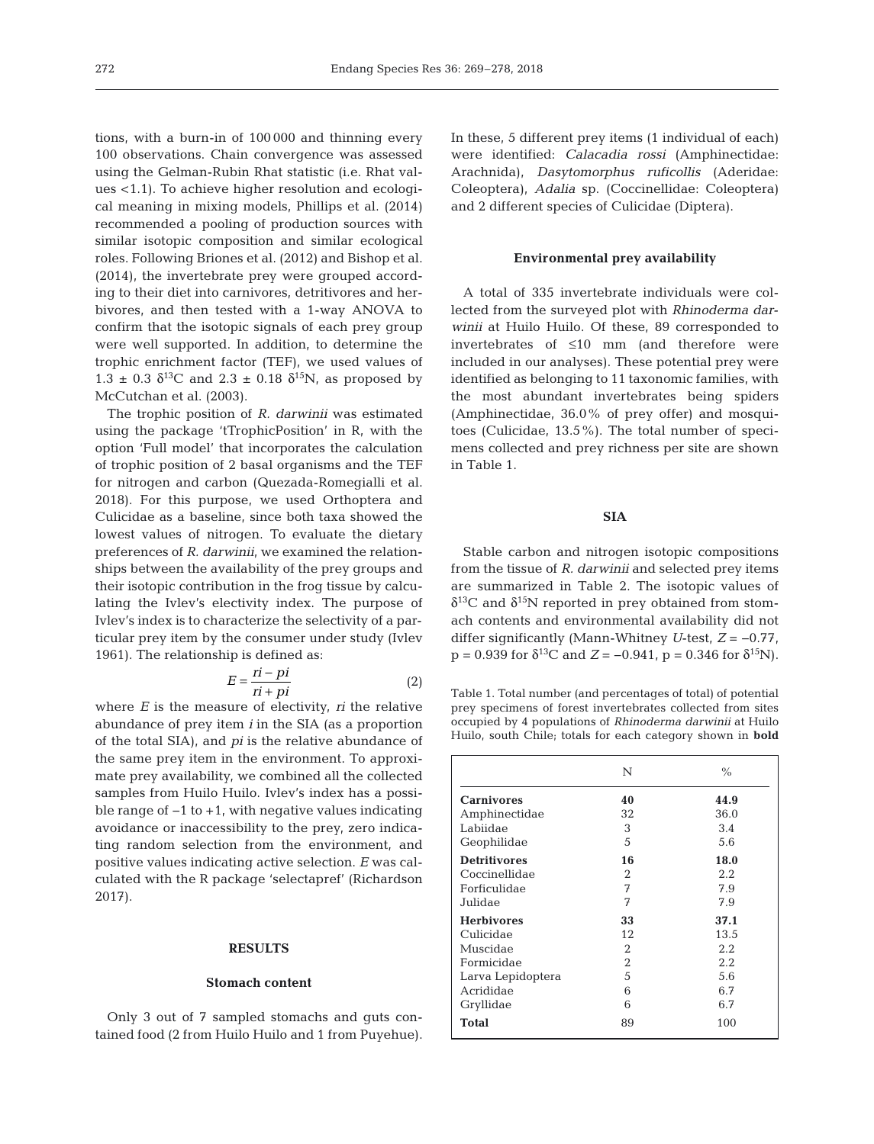tions, with a burn-in of 100 000 and thinning every 100 observations. Chain convergence was assessed using the Gelman-Rubin Rhat statistic (i.e. Rhat values <1.1). To achieve higher resolution and ecological meaning in mixing models, Phillips et al. (2014) recommended a pooling of production sources with similar isotopic composition and similar ecological roles. Following Briones et al. (2012) and Bishop et al. (2014), the invertebrate prey were grouped according to their diet into carnivores, detritivores and herbivores, and then tested with a 1-way ANOVA to confirm that the isotopic signals of each prey group were well supported. In addition, to determine the trophic enrichment factor (TEF), we used values of  $1.3 \pm 0.3$  δ<sup>13</sup>C and  $2.3 \pm 0.18$  δ<sup>15</sup>N, as proposed by McCutchan et al. (2003).

The trophic position of *R. darwinii* was estimated using the package 'tTrophicPosition' in R, with the option 'Full model' that incorporates the calculation of trophic position of 2 basal organisms and the TEF for nitrogen and carbon (Quezada-Romegialli et al. 2018). For this purpose, we used Orthoptera and Culicidae as a baseline, since both taxa showed the lowest values of nitrogen. To evaluate the dietary preferences of *R. darwinii*, we examined the relationships between the availability of the prey groups and their isotopic contribution in the frog tissue by calculating the Ivlev's electivity index. The purpose of Ivlev's index is to characterize the selectivity of a particular prey item by the consumer under study (Ivlev 1961). The relationship is defined as:

$$
E = \frac{ri - pi}{ri + pi} \tag{2}
$$

where *E* is the measure of electivity, *ri* the relative abundance of prey item *i* in the SIA (as a proportion of the total SIA), and *pi* is the relative abundance of the same prey item in the environment. To approximate prey availability, we combined all the collected samples from Huilo Huilo. Ivlev's index has a possible range of −1 to +1, with negative values indicating avoidance or inaccessibility to the prey, zero indicating random selection from the environment, and positive values indicating active selection. *E* was calculated with the R package 'selectapref' (Richardson 2017).

# **RESULTS**

#### **Stomach content**

Only 3 out of 7 sampled stomachs and guts contained food (2 from Huilo Huilo and 1 from Puyehue). In these, 5 different prey items (1 individual of each) were identified: *Calacadia rossi* (Amphinectidae: Arachnida), *Dasytomorphus ruficollis* (Aderidae: Coleoptera), *Adalia* sp. (Coccinellidae: Coleoptera) and 2 different species of Culicidae (Diptera).

#### **Environmental prey availability**

A total of 335 invertebrate individuals were collected from the surveyed plot with *Rhinoderma darwinii* at Huilo Huilo. Of these, 89 corresponded to invertebrates of ≤10 mm (and therefore were included in our analyses). These potential prey were identified as belonging to 11 taxonomic families, with the most abundant invertebrates being spiders (Amphinectidae, 36.0% of prey offer) and mosquitoes (Culicidae, 13.5%). The total number of specimens collected and prey richness per site are shown in Table 1.

# **SIA**

Stable carbon and nitrogen isotopic compositions from the tissue of *R. darwinii* and selected prey items are summarized in Table 2. The isotopic values of  $δ<sup>13</sup>C$  and  $δ<sup>15</sup>N$  reported in prey obtained from stomach contents and environmental availability did not differ significantly (Mann-Whitney *U*-test, *Z* = −0.77,  $p = 0.939$  for  $\delta^{13}C$  and  $Z = -0.941$ ,  $p = 0.346$  for  $\delta^{15}N$ ).

Table 1. Total number (and percentages of total) of potential prey specimens of forest invertebrates collected from sites occupied by 4 populations of *Rhinoderma darwinii* at Huilo Huilo, south Chile; totals for each category shown in **bold**

|                     | N  | $\frac{0}{0}$ |
|---------------------|----|---------------|
| <b>Carnivores</b>   | 40 | 44.9          |
| Amphinectidae       | 32 | 36.0          |
| Labiidae            | 3  | 3.4           |
| Geophilidae         | 5  | 5.6           |
| <b>Detritivores</b> | 16 | 18.0          |
| Coccinellidae       | 2  | 2.2           |
| Forficulidae        | 7  | 7.9           |
| Julidae             | 7  | 7.9           |
| <b>Herbivores</b>   | 33 | 37.1          |
| Culicidae           | 12 | 13.5          |
| Muscidae            | 2  | 2.2           |
| Formicidae          | 2  | 2.2           |
| Larva Lepidoptera   | 5  | 5.6           |
| Acrididae           | 6  | 6.7           |
| Gryllidae           | 6  | 6.7           |
| <b>Total</b>        | 89 | 100           |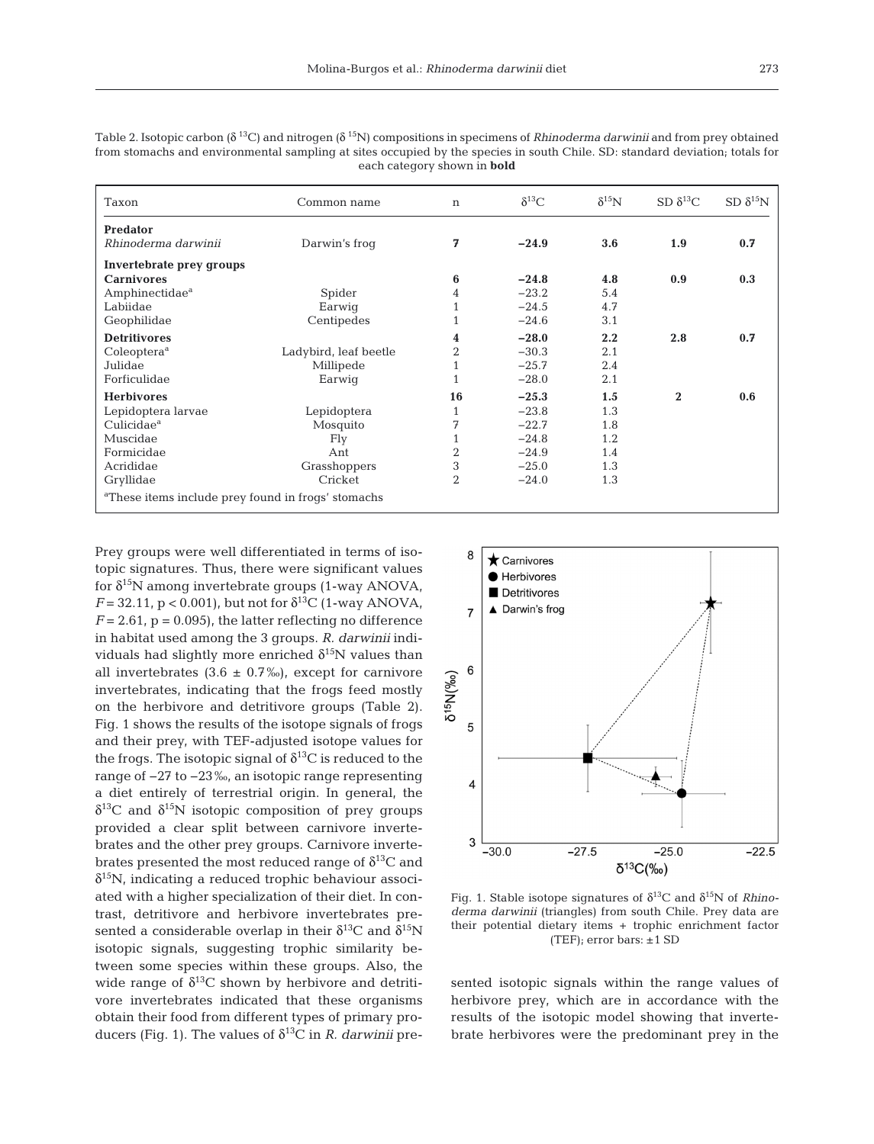| Taxon                                                          | Common name           | $\mathbf n$    | $\delta^{13}C$ | $\delta^{15}N$ | SD $\delta^{13}C$ | $SD \delta^{15}N$ |
|----------------------------------------------------------------|-----------------------|----------------|----------------|----------------|-------------------|-------------------|
| Predator                                                       |                       |                |                |                |                   |                   |
| Rhinoderma darwinii                                            | Darwin's froq         | 7              | $-24.9$        | 3.6            | 1.9               | 0.7               |
| Invertebrate prey groups                                       |                       |                |                |                |                   |                   |
| <b>Carnivores</b>                                              |                       | 6              | $-24.8$        | 4.8            | 0.9               | 0.3               |
| Amphinectidae <sup>a</sup>                                     | Spider                | 4              | $-23.2$        | 5.4            |                   |                   |
| Labiidae                                                       | Earwig                |                | $-24.5$        | 4.7            |                   |                   |
| Geophilidae                                                    | Centipedes            |                | $-24.6$        | 3.1            |                   |                   |
| <b>Detritivores</b>                                            |                       | 4              | $-28.0$        | $2.2\,$        | 2.8               | 0.7               |
| Coleoptera <sup>a</sup>                                        | Ladybird, leaf beetle | 2              | $-30.3$        | 2.1            |                   |                   |
| Julidae                                                        | Millipede             |                | $-25.7$        | 2.4            |                   |                   |
| Forficulidae                                                   | Earwig                | 1              | $-28.0$        | 2.1            |                   |                   |
| <b>Herbivores</b>                                              |                       | 16             | $-25.3$        | 1.5            | $\bf{2}$          | 0.6               |
| Lepidoptera larvae                                             | Lepidoptera           |                | $-23.8$        | 1.3            |                   |                   |
| Culicidae <sup>a</sup>                                         | Mosquito              | 7              | $-22.7$        | 1.8            |                   |                   |
| Muscidae                                                       | Fly                   |                | $-24.8$        | 1.2            |                   |                   |
| Formicidae                                                     | Ant                   | $\overline{2}$ | $-24.9$        | 1.4            |                   |                   |
| Acrididae                                                      | Grasshoppers          | 3              | $-25.0$        | 1.3            |                   |                   |
| Gryllidae                                                      | Cricket               | $\overline{2}$ | $-24.0$        | 1.3            |                   |                   |
| <sup>a</sup> These items include prey found in frogs' stomachs |                       |                |                |                |                   |                   |

Table 2. Isotopic carbon (δ 13C) and nitrogen (δ 15N) compositions in specimens of *Rhinoderma darwinii* and from prey obtained from stomachs and environmental sampling at sites occupied by the species in south Chile. SD: standard deviation; totals for each category shown in **bold**

Prey groups were well differentiated in terms of isotopic signatures. Thus, there were significant values for  $\delta^{15}N$  among invertebrate groups (1-way ANOVA,  $F = 32.11$ ,  $p < 0.001$ ), but not for  $\delta^{13}C$  (1-way ANOVA,  $F = 2.61$ ,  $p = 0.095$ , the latter reflecting no difference in habitat used among the 3 groups. *R. darwinii* individuals had slightly more enriched  $\delta^{15}N$  values than all invertebrates  $(3.6 \pm 0.7\%)$ , except for carnivore invertebrates, indicating that the frogs feed mostly on the herbivore and detritivore groups (Table 2). Fig. 1 shows the results of the isotope signals of frogs and their prey, with TEF-adjusted isotope values for the frogs. The isotopic signal of  $\delta^{13}$ C is reduced to the range of −27 to −23‰, an isotopic range representing a diet entirely of terrestrial origin. In general, the  $\delta^{13}$ C and  $\delta^{15}$ N isotopic composition of prey groups provided a clear split between carnivore invertebrates and the other prey groups. Carnivore invertebrates presented the most reduced range of  $\delta^{13}C$  and  $\delta^{15}$ N, indicating a reduced trophic behaviour associated with a higher specialization of their diet. In contrast, detritivore and herbivore invertebrates presented a considerable overlap in their  $\delta^{13}$ C and  $\delta^{15}$ N isotopic signals, suggesting trophic similarity be tween some species within these groups. Also, the wide range of  $\delta^{13}$ C shown by herbivore and detritivore invertebrates indicated that these organisms obtain their food from different types of primary producers (Fig. 1). The values of  $\delta^{13}$ C in *R. darwinii* pre-



Fig. 1. Stable isotope signatures of δ13C and δ15N of *Rhinoderma darwinii* (triangles) from south Chile. Prey data are their potential dietary items + trophic enrichment factor (TEF); error bars:  $\pm 1$  SD

sented isotopic signals within the range values of herbivore prey, which are in accordance with the results of the isotopic model showing that invertebrate herbivores were the predominant prey in the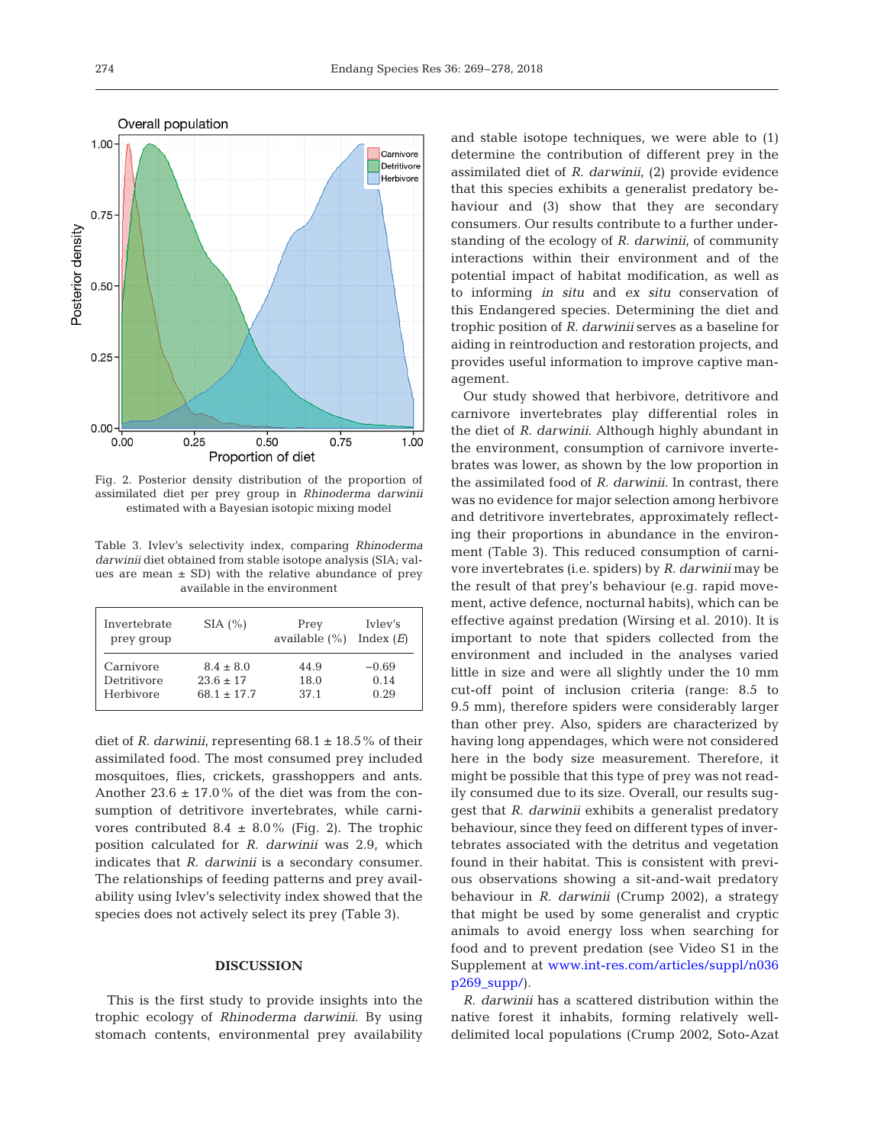

Fig. 2. Posterior density distribution of the proportion of assimilated diet per prey group in *Rhinoderma darwinii* estimated with a Bayesian isotopic mixing model

Table 3. Ivlev's selectivity index, comparing *Rhinoderma darwinii* diet obtained from stable isotope analysis (SIA; values are mean  $\pm$  SD) with the relative abundance of prey available in the environment

| Invertebrate | $SIA (\%)$    | Prey             | Iyley's     |
|--------------|---------------|------------------|-------------|
| prey group   |               | available $(\%)$ | Index $(E)$ |
| Carnivore    | $8.4 + 8.0$   | 44.9             | $-0.69$     |
| Detritivore  | $23.6 + 17$   | 18.0             | 0.14        |
| Herbivore    | $68.1 + 17.7$ | 37.1             | 0.29        |

diet of *R. darwinii*, representing  $68.1 \pm 18.5\%$  of their assimilated food. The most consumed prey included mosquitoes, flies, crickets, grasshoppers and ants. Another  $23.6 \pm 17.0\%$  of the diet was from the consumption of detritivore invertebrates, while carnivores contributed  $8.4 \pm 8.0\%$  (Fig. 2). The trophic position calculated for *R. darwinii* was 2.9, which indicates that *R. darwinii* is a secondary consumer. The relationships of feeding patterns and prey availability using Ivlev's selectivity index showed that the species does not actively select its prey (Table 3).

# **DISCUSSION**

This is the first study to provide insights into the trophic ecology of *Rhinoderma darwinii*. By using stomach contents, environmental prey availability and stable isotope techniques, we were able to (1) determine the contribution of different prey in the assimilated diet of *R. darwinii*, (2) provide evidence that this species exhibits a generalist predatory be haviour and (3) show that they are secondary consumers. Our results contribute to a further understanding of the ecology of *R. darwinii*, of community interactions within their environment and of the potential impact of habitat modification, as well as to informing *in situ* and *ex situ* conservation of this Endangered species. Determining the diet and trophic position of *R. darwinii* serves as a baseline for aiding in reintroduction and restoration projects, and provides useful information to improve captive management.

Our study showed that herbivore, detritivore and carnivore invertebrates play differential roles in the diet of *R. darwinii*. Although highly abundant in the environment, consumption of carnivore invertebrates was lower, as shown by the low proportion in the assimilated food of *R. darwinii*. In contrast, there was no evidence for major selection among herbivore and detritivore invertebrates, approximately reflecting their proportions in abundance in the environment (Table 3). This reduced consumption of carnivore invertebrates (i.e. spiders) by *R. darwinii* may be the result of that prey's behaviour (e.g. rapid movement, active defence, nocturnal habits), which can be effective against predation (Wirsing et al. 2010). It is important to note that spiders collected from the environment and included in the analyses varied little in size and were all slightly under the 10 mm cut-off point of inclusion criteria (range: 8.5 to 9.5 mm), therefore spiders were considerably larger than other prey. Also, spiders are characterized by having long appendages, which were not considered here in the body size measurement. Therefore, it might be possible that this type of prey was not readily consumed due to its size. Overall, our results suggest that *R. darwinii* exhibits a generalist predatory behaviour, since they feed on different types of invertebrates associated with the detritus and vegetation found in their habitat. This is consistent with previous observations showing a sit-and-wait predatory behaviour in *R. darwinii* (Crump 2002), a strategy that might be used by some generalist and cryptic animals to avoid energy loss when searching for food and to prevent predation (see Video S1 in the Supplement at www.int-res.com/articles/suppl/n036  $p269 \text{ supp}$ .

*R. darwinii* has a scattered distribution within the native forest it inhabits, forming relatively welldelimited local populations (Crump 2002, Soto-Azat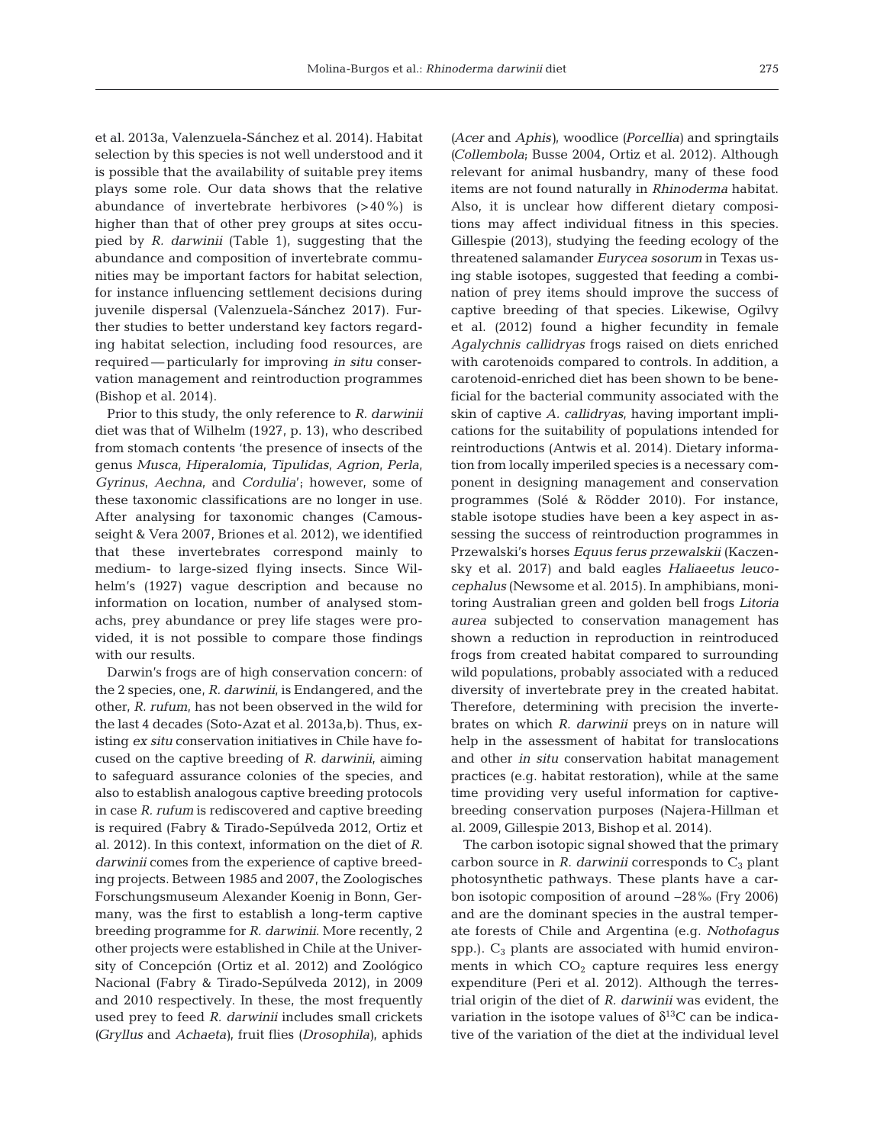et al. 2013a, Valenzuela-Sánchez et al. 2014). Habitat selection by this species is not well understood and it is possible that the availability of suitable prey items plays some role. Our data shows that the relative abundance of invertebrate herbivores (>40%) is higher than that of other prey groups at sites occupied by *R. darwinii* (Table 1), suggesting that the abundance and composition of invertebrate communities may be important factors for habitat selection, for instance influencing settlement decisions during juvenile dispersal (Valenzuela-Sánchez 2017). Further studies to better understand key factors regarding habitat selection, including food resources, are required — particularly for improving *in situ* conservation management and reintroduction programmes (Bishop et al. 2014).

Prior to this study, the only reference to *R. darwinii* diet was that of Wilhelm (1927, p. 13), who described from stomach contents 'the presence of insects of the genus *Musca*, *Hiperalomia*, *Tipulidas*, *Agrion*, *Perla*, *Gyrinus*, *Aechna*, and *Cordulia*'; however, some of these taxonomic classifications are no longer in use. After analysing for taxonomic changes (Camousseight & Vera 2007, Briones et al. 2012), we identified that these invertebrates correspond mainly to medium- to large-sized flying insects. Since Wilhelm's (1927) vague description and because no information on location, number of analysed stomachs, prey abundance or prey life stages were provided, it is not possible to compare those findings with our results.

Darwin's frogs are of high conservation concern: of the 2 species, one, *R. darwinii*, is Endangered, and the other, *R. rufum*, has not been observed in the wild for the last 4 decades (Soto-Azat et al. 2013a,b). Thus, existing *ex situ* conservation initiatives in Chile have focused on the captive breeding of *R. darwinii*, aiming to safeguard assurance colonies of the species, and also to establish analogous captive breeding protocols in case *R. rufum* is rediscovered and captive breeding is required (Fabry & Tirado-Sepúlveda 2012, Ortiz et al. 2012). In this context, information on the diet of *R. darwinii* comes from the experience of captive breeding projects. Between 1985 and 2007, the Zoologisches Forschungsmuseum Alexander Koenig in Bonn, Germany, was the first to establish a long-term captive breeding programme for *R. darwinii*. More recently, 2 other projects were established in Chile at the University of Concepción (Ortiz et al. 2012) and Zoológico Nacional (Fabry & Tirado-Sepúlveda 2012), in 2009 and 2010 respectively. In these, the most frequently used prey to feed *R. darwinii* includes small crickets *(Gryllus* and *Achaeta)*, fruit flies *(Drosophila)*, aphids

*(Acer* and *Aphis)*, woodlice *(Porcellia)* and springtails *(Collembola*; Busse 2004, Ortiz et al. 2012). Although relevant for animal husbandry, many of these food items are not found naturally in *Rhinoderma* habitat. Also, it is unclear how different dietary compositions may affect individual fitness in this species. Gillespie (2013), studying the feeding ecology of the threatened salamander *Eurycea sosorum* in Texas using stable isotopes, suggested that feeding a combination of prey items should improve the success of captive breeding of that species. Likewise, Ogilvy et al. (2012) found a higher fecundity in female *Agalychnis callidryas* frogs raised on diets enriched with carotenoids compared to controls. In addition, a carotenoid-enriched diet has been shown to be beneficial for the bacterial community associated with the skin of captive *A. callidryas*, having important implications for the suitability of populations intended for reintroductions (Antwis et al. 2014). Dietary information from locally imperiled species is a necessary component in designing management and conservation programmes (Solé & Rödder 2010). For instance, stable isotope studies have been a key aspect in assessing the success of reintroduction programmes in Przewalski's horses *Equus ferus prze walskii* (Kaczensky et al. 2017) and bald eagles *Haliaeetus leucocephalus* (Newsome et al. 2015). In amphibians, monitoring Australian green and golden bell frogs *Litoria aurea* subjected to conservation management has shown a reduction in reproduction in reintroduced frogs from created habitat compared to surrounding wild populations, probably associated with a reduced diversity of invertebrate prey in the created habitat. Therefore, determining with precision the invertebrates on which *R. darwinii* preys on in nature will help in the assessment of habitat for translocations and other *in situ* conservation habitat management practices (e.g. habitat restoration), while at the same time providing very useful information for captivebreeding conservation purposes (Najera-Hillman et al. 2009, Gillespie 2013, Bishop et al. 2014).

The carbon isotopic signal showed that the primary carbon source in  $R$ . *darwinii* corresponds to  $C_3$  plant photosynthetic pathways. These plants have a carbon isotopic composition of around −28‰ (Fry 2006) and are the dominant species in the austral temperate forests of Chile and Argentina (e.g. *Nothofagus* spp.).  $C_3$  plants are associated with humid environments in which  $CO<sub>2</sub>$  capture requires less energy expenditure (Peri et al. 2012). Although the terrestrial origin of the diet of *R. darwinii* was evident, the variation in the isotope values of  $\delta^{13}C$  can be indicative of the variation of the diet at the individual level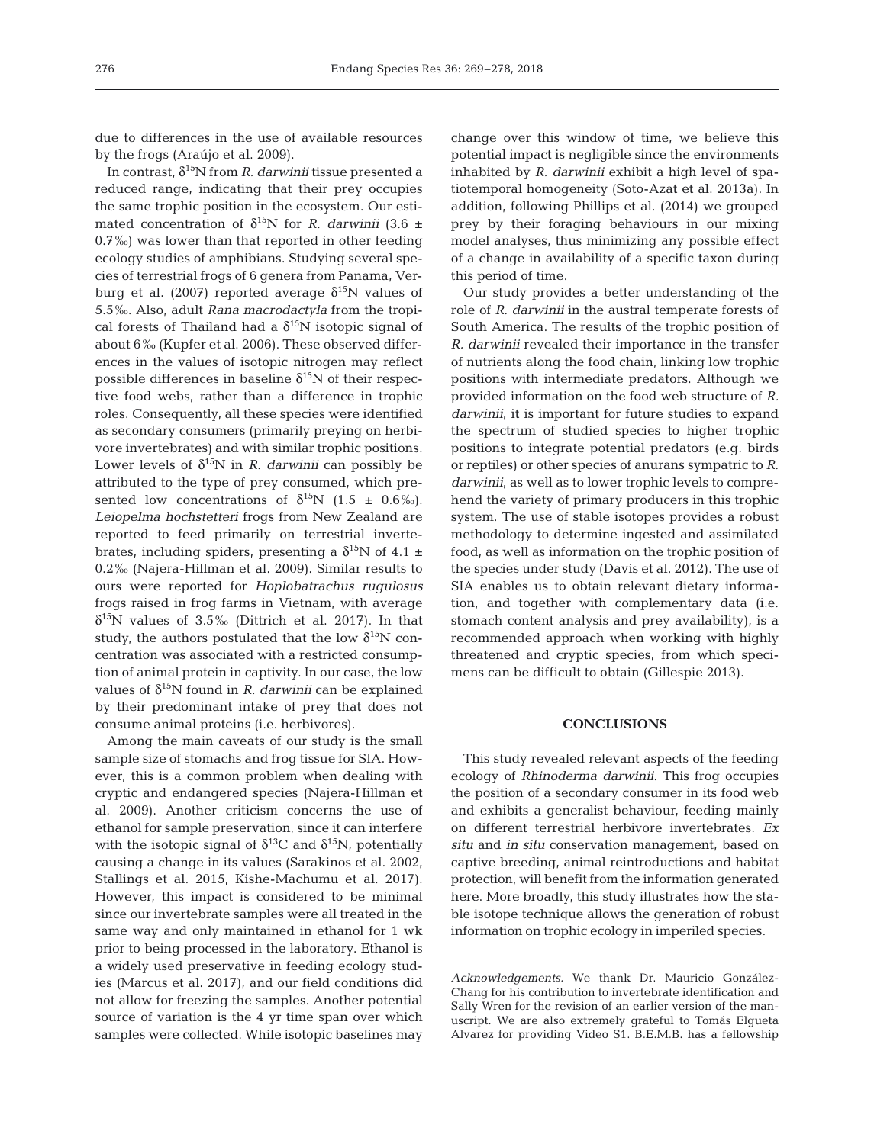due to differences in the use of available resources by the frogs (Araújo et al. 2009).

In contrast, δ15N from *R. darwinii* tissue presented a reduced range, indicating that their prey occupies the same trophic position in the ecosystem. Our estimated concentration of  $\delta^{15}N$  for *R. darwinii* (3.6  $\pm$ 0.7‰) was lower than that reported in other feeding ecology studies of amphibians. Studying several species of terrestrial frogs of 6 genera from Panama, Verburg et al. (2007) reported average  $δ<sup>15</sup>N$  values of 5.5‰. Also, adult *Rana macrodactyla* from the tropical forests of Thailand had a  $\delta^{15}N$  isotopic signal of about 6‰ (Kupfer et al. 2006). These observed differences in the values of isotopic nitrogen may reflect possible differences in baseline  $\delta^{15}N$  of their respective food webs, rather than a difference in trophic roles. Consequently, all these species were identified as secondary consumers (primarily preying on herbivore invertebrates) and with similar trophic positions. Lower levels of  $\delta^{15}N$  in *R. darwinii* can possibly be attributed to the type of prey consumed, which presented low concentrations of  $\delta^{15}N$  (1.5 ± 0.6‰). *Leiopelma hochstetteri* frogs from New Zealand are reported to feed primarily on terrestrial invertebrates, including spiders, presenting a  $\delta^{15}N$  of 4.1  $\pm$ 0.2‰ (Najera-Hillman et al. 2009). Similar results to ours were reported for *Hoplobatrachus rugulosus* frogs raised in frog farms in Vietnam, with average  $\delta^{15}$ N values of 3.5‰ (Dittrich et al. 2017). In that study, the authors postulated that the low  $\delta^{15}N$  concentration was associated with a restricted consumption of animal protein in captivity. In our case, the low values of  $\delta^{15}N$  found in *R. darwinii* can be explained by their predominant intake of prey that does not consume animal proteins (i.e. herbivores).

Among the main caveats of our study is the small sample size of stomachs and frog tissue for SIA. However, this is a common problem when dealing with cryptic and endangered species (Najera-Hillman et al. 2009). Another criticism concerns the use of ethanol for sample preservation, since it can interfere with the isotopic signal of  $\delta^{13}$ C and  $\delta^{15}$ N, potentially causing a change in its values (Sarakinos et al. 2002, Stallings et al. 2015, Kishe-Machumu et al. 2017). However, this impact is considered to be minimal since our invertebrate samples were all treated in the same way and only maintained in ethanol for 1 wk prior to being processed in the laboratory. Ethanol is a widely used preservative in feeding ecology studies (Marcus et al. 2017), and our field conditions did not allow for freezing the samples. Another potential source of variation is the 4 yr time span over which samples were collected. While isotopic baselines may

change over this window of time, we believe this potential impact is negligible since the environments inhabited by *R. darwinii* exhibit a high level of spatiotemporal homogeneity (Soto-Azat et al. 2013a). In addition, following Phillips et al. (2014) we grouped prey by their foraging behaviours in our mixing model analyses, thus minimizing any possible effect of a change in availability of a specific taxon during this period of time.

Our study provides a better understanding of the role of *R. darwinii* in the austral temperate forests of South America. The results of the trophic position of *R. darwinii* revealed their importance in the transfer of nutrients along the food chain, linking low trophic positions with intermediate predators. Although we provided information on the food web structure of *R. darwinii*, it is important for future studies to expand the spectrum of studied species to higher trophic positions to integrate potential predators (e.g. birds or reptiles) or other species of anurans sympatric to *R. darwinii*, as well as to lower trophic levels to comprehend the variety of primary producers in this trophic system. The use of stable isotopes provides a robust methodology to determine ingested and assimilated food, as well as information on the trophic position of the species under study (Davis et al. 2012). The use of SIA enables us to obtain relevant dietary information, and together with complementary data (i.e. stomach content analysis and prey availability), is a recommended approach when working with highly threatened and cryptic species, from which specimens can be difficult to obtain (Gillespie 2013).

# **CONCLUSIONS**

This study revealed relevant aspects of the feeding ecology of *Rhinoderma darwinii*. This frog occupies the position of a secondary consumer in its food web and exhibits a generalist behaviour, feeding mainly on different terrestrial herbivore invertebrates. *Ex situ* and *in situ* conservation management, based on captive breeding, animal reintroductions and habitat protection, will benefit from the information generated here. More broadly, this study illustrates how the stable isotope technique allows the generation of robust information on trophic ecology in imperiled species.

*Acknowledgements.* We thank Dr. Mauricio González-Chang for his contribution to invertebrate identification and Sally Wren for the revision of an earlier version of the manuscript. We are also extremely grateful to Tomás Elgueta Alvarez for providing Video S1. B.E.M.B. has a fellowship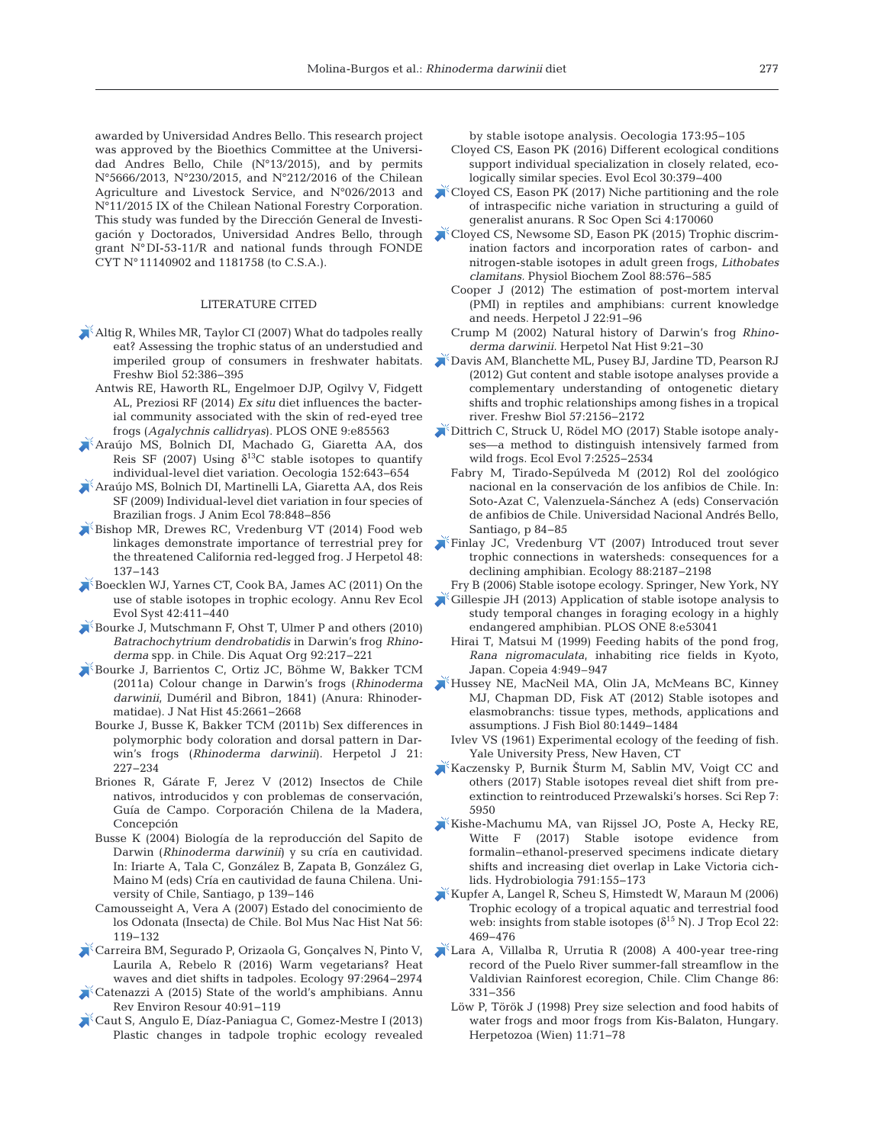awarded by Universidad Andres Bello. This research project was approved by the Bioethics Committee at the Universidad Andres Bello, Chile (N°13/2015), and by permits N°5666/2013, N°230/2015, and N°212/2016 of the Chilean Agriculture and Livestock Service, and N°026/2013 and N°11/2015 IX of the Chilean National Forestry Corporation. This study was funded by the Dirección General de Investigación y Doctorados, Universidad Andres Bello, through grant N°DI-53-11/R and national funds through FONDE CYT N°11140902 and 1181758 (to C.S.A.).

#### LITERATURE CITED

- [Altig R, Whiles MR, Taylor CI \(2007\) What do tadpoles really](https://doi.org/10.1111/j.1365-2427.2006.01694.x) eat? Assessing the trophic status of an understudied and imperiled group of consumers in freshwater habitats. Freshw Biol 52: 386−395
	- Antwis RE, Haworth RL, Engelmoer DJP, Ogilvy V, Fidgett AL, Preziosi RF (2014) *Ex situ* diet influences the bacterial community associated with the skin of red-eyed tree frogs (*Agalychnis callidryas*). PLOS ONE 9: e85563
- [Araújo MS, Bolnich DI, Machado G, Giaretta AA, dos](https://doi.org/10.1007/s00442-007-0687-1) Reis SF (2007) Using  $\delta^{13}$ C stable isotopes to quantify individual-level diet variation. Oecologia 152: 643−654
- [Araújo MS, Bolnich DI, Martinelli LA, Giaretta AA, dos Reis](https://doi.org/10.1111/j.1365-2656.2009.01546.x) SF (2009) Individual-level diet variation in four species of Brazilian frogs. J Anim Ecol 78: 848−856
- [Bishop MR, Drewes RC, Vredenburg VT \(2014\) Food web](https://doi.org/10.1670/12-288) linkages demonstrate importance of terrestrial prey for the threatened California red-legged frog. J Herpetol 48: 137−143
- [Boecklen WJ, Yarnes CT, Cook BA, James AC \(2011\) On the](https://doi.org/10.1146/annurev-ecolsys-102209-144726) use of stable isotopes in trophic ecology. Annu Rev Ecol Evol Syst 42: 411−440
- [Bourke J, Mutschmann F, Ohst T, Ulmer P and others \(2010\)](https://doi.org/10.3354/dao02239) *Batrachochytrium dendrobatidis* in Darwin's frog *Rhino*derma spp. in Chile. Dis Aquat Org 92:217-221
- [Bourke J, Barrientos C, Ortiz JC, Böhme W, Bakker TCM](https://doi.org/10.1080/00222933.2011.597885) (2011a) Colour change in Darwin's frogs (*Rhinoderma* darwinii, Duméril and Bibron, 1841) (Anura: Rhinodermatidae). J Nat Hist 45: 2661−2668
	- Bourke J, Busse K, Bakker TCM (2011b) Sex differences in polymorphic body coloration and dorsal pattern in Darwin's frogs (*Rhinoderma darwinii*). Herpetol J 21: 227−234
	- Briones R, Gárate F, Jerez V (2012) Insectos de Chile nativos, introducidos y con problemas de conservación, Guía de Campo. Corporación Chilena de la Madera, Concepción
	- Busse K (2004) Biología de la reproducción del Sapito de Darwin (*Rhinoderma darwinii*) y su cría en cautividad. In: Iriarte A, Tala C, González B, Zapata B, González G, Maino M (eds) Cría en cautividad de fauna Chilena. University of Chile, Santiago, p 139−146
	- Camousseight A, Vera A (2007) Estado del conocimiento de los Odonata (Insecta) de Chile. Bol Mus Nac Hist Nat 56: 119−132
- [Carreira BM, Segurado P, Orizaola G, Gonçalves N, Pinto V,](https://doi.org/10.1002/ecy.1541) Laurila A, Rebelo R (2016) Warm vegetarians? Heat waves and diet shifts in tadpoles. Ecology 97:2964-2974
- [Catenazzi A \(2015\) State of the world's amphibians. Annu](https://doi.org/10.1146/annurev-environ-102014-021358) Rev Environ Resour 40:91-119
- [Caut S, Angulo E, Díaz-Paniagua C, Gomez-Mestre I \(2013\)](https://doi.org/10.1007/s00442-012-2428-3) Plastic changes in tadpole trophic ecology revealed

by stable isotope analysis. Oecologia 173: 95−105

- Cloyed CS, Eason PK (2016) Different ecological conditions support individual specialization in closely related, ecologically similar species. Evol Ecol 30:379-400
- [Cloyed CS, Eason PK \(2017\) Niche partitioning and the role](https://doi.org/10.1098/rsos.170060) of intraspecific niche variation in structuring a guild of generalist anurans. R Soc Open Sci 4: 170060
- [Cloyed CS, Newsome SD, Eason PK \(2015\) Trophic discrim](https://doi.org/10.1086/682576)ination factors and incorporation rates of carbon- and nitrogen-stable isotopes in adult green frogs, *Lithobates clamitans.* Physiol Biochem Zool 88: 576−585
	- Cooper J (2012) The estimation of post-mortem interval (PMI) in reptiles and amphibians: current knowledge and needs. Herpetol J 22:91-96
	- Crump M (2002) Natural history of Darwin's frog *Rhino*derma darwinii. Herpetol Nat Hist 9:21-30
- [Davis AM, Blanchette ML, Pusey BJ, Jardine TD, Pearson RJ](https://doi.org/10.1111/j.1365-2427.2012.02858.x) (2012) Gut content and stable isotope analyses provide a complementary understanding of ontogenetic dietary shifts and trophic relationships among fishes in a tropical river. Freshw Biol 57: 2156−2172
- [Dittrich C, Struck U, Rödel MO \(2017\) Stable isotope analy](https://doi.org/10.1002/ece3.2878)ses—a method to distinguish intensively farmed from wild frogs. Ecol Evol 7:2525-2534
	- Fabry M, Tirado-Sepúlveda M (2012) Rol del zoológico nacional en la conservación de los anfibios de Chile. In: Soto-Azat C, Valenzuela-Sánchez A (eds) Conservación de anfibios de Chile. Universidad Nacional Andrés Bello, Santiago, p 84−85
- [Finlay JC, Vredenburg VT \(2007\) Introduced trout sever](https://doi.org/10.1890/06-0344.1) trophic connections in watersheds: consequences for a declining amphibian. Ecology 88:2187-2198
- Fry B (2006) Stable isotope ecology. Springer, New York, NY
- [Gillespie JH \(2013\) Application of stable isotope analysis to](https://doi.org/10.1371/journal.pone.0053041) study temporal changes in foraging ecology in a highly endangered amphibian. PLOS ONE 8:e53041
	- Hirai T, Matsui M (1999) Feeding habits of the pond frog, *Rana nigromaculata*, inhabiting rice fields in Kyoto, Japan. Copeia 4: 949–947
- [Hussey NE, MacNeil MA, Olin JA, McMeans BC, Kinney](https://doi.org/10.1111/j.1095-8649.2012.03251.x) MJ, Chapman DD, Fisk AT (2012) Stable isotopes and elasmobranchs: tissue types, methods, applications and assumptions. J Fish Biol 80: 1449−1484
	- Ivlev VS (1961) Experimental ecology of the feeding of fish. Yale University Press, New Haven, CT
- [Kaczensky P, Burnik Šturm M, Sablin MV, Voigt CC and](https://doi.org/10.1038/s41598-017-05329-6) others (2017) Stable isotopes reveal diet shift from preextinction to reintroduced Przewalski's horses. Sci Rep 7: 5950
- [Kishe-Machumu MA, van Rijssel JO, Poste A, Hecky RE,](https://doi.org/10.1007/s10750-016-2925-1) Witte F (2017) Stable isotope evidence from formalin−ethanol-preserved specimens indicate dietary shifts and increasing diet overlap in Lake Victoria cichlids. Hydrobiologia 791: 155−173
- [Kupfer A, Langel R, Scheu S, Himstedt W, Maraun M \(2006\)](https://doi.org/10.1017/S0266467406003336) Trophic ecology of a tropical aquatic and terrestrial food web: insights from stable isotopes ( $\delta^{15}$  N). J Trop Ecol 22: 469−476
- [Lara A, Villalba R, Urrutia R \(2008\) A 400-year tree-ring](https://doi.org/10.1007/s10584-007-9287-7) record of the Puelo River summer-fall streamflow in the Valdivian Rainforest ecoregion, Chile. Clim Change 86: 331−356
	- Löw P, Török J (1998) Prey size selection and food habits of water frogs and moor frogs from Kis-Balaton, Hungary. Herpetozoa (Wien) 11:71−78